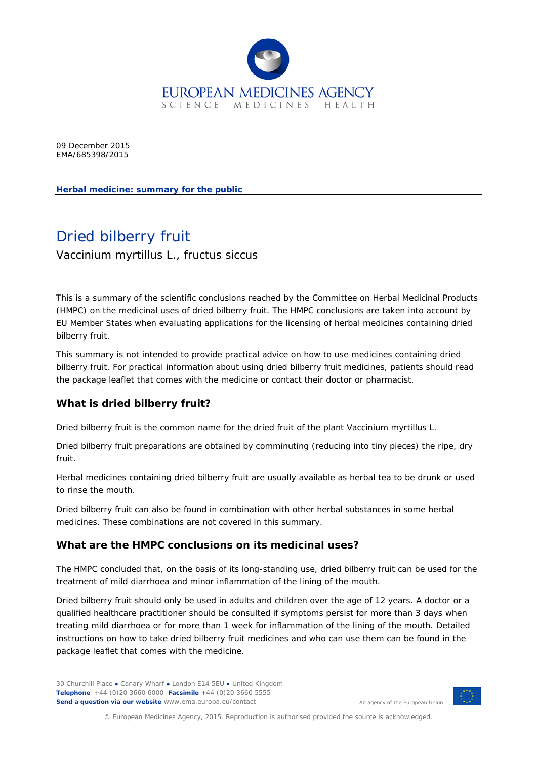

09 December 2015 EMA/685398/2015

**Herbal medicine: summary for the public**

# Dried bilberry fruit

*Vaccinium myrtillus* L., fructus siccus

This is a summary of the scientific conclusions reached by the Committee on Herbal Medicinal Products (HMPC) on the medicinal uses of dried bilberry fruit. The HMPC conclusions are taken into account by EU Member States when evaluating applications for the licensing of herbal medicines containing dried bilberry fruit.

This summary is not intended to provide practical advice on how to use medicines containing dried bilberry fruit. For practical information about using dried bilberry fruit medicines, patients should read the package leaflet that comes with the medicine or contact their doctor or pharmacist.

# **What is dried bilberry fruit?**

Dried bilberry fruit is the common name for the dried fruit of the plant *Vaccinium myrtillus* L.

Dried bilberry fruit preparations are obtained by comminuting (reducing into tiny pieces) the ripe, dry fruit.

Herbal medicines containing dried bilberry fruit are usually available as herbal tea to be drunk or used to rinse the mouth.

Dried bilberry fruit can also be found in combination with other herbal substances in some herbal medicines. These combinations are not covered in this summary.

# **What are the HMPC conclusions on its medicinal uses?**

The HMPC concluded that, on the basis of its long-standing use, dried bilberry fruit can be used for the treatment of mild diarrhoea and minor inflammation of the lining of the mouth.

Dried bilberry fruit should only be used in adults and children over the age of 12 years. A doctor or a qualified healthcare practitioner should be consulted if symptoms persist for more than 3 days when treating mild diarrhoea or for more than 1 week for inflammation of the lining of the mouth. Detailed instructions on how to take dried bilberry fruit medicines and who can use them can be found in the package leaflet that comes with the medicine.

30 Churchill Place **●** Canary Wharf **●** London E14 5EU **●** United Kingdom **Telephone** +44 (0)20 3660 6000 **Facsimile** +44 (0)20 3660 5555 **Send a question via our website** www.ema.europa.eu/contact



An agency of the European Union

© European Medicines Agency, 2015. Reproduction is authorised provided the source is acknowledged.